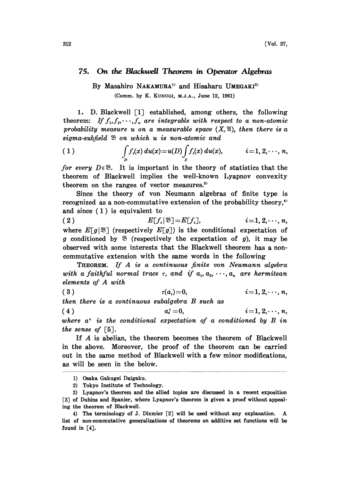## 75. On the Blackvuell Theorem in Operator Algebras

By Masahiro NAKAMURA<sup>1</sup> and Hisaharu UMEGAKI<sup>2</sup> (Comm. by K. KUNUGI, M.J.A., June 12, 1961)

1. D. Blackwell [1] established, among others, the following theorem: If  $f_1, f_2, \dots, f_n$  are integrable with respect to a non-atomic probability measure u on a measurable space  $(X, \mathfrak{A})$ , then there is a sigma-subfield  $\mathfrak B$  on which u is non-atomic and

(1) 
$$
\int_{D} f_i(x) du(x) = u(D) \int_{X} f_i(x) du(x), \qquad i = 1, 2, \dots, n,
$$

for every  $D \in \mathcal{B}$ . It is important in the theory of statistics that the theorem of Blackwell implies the well-known Lyapnov convexity theorem on the ranges of vector measures. $3$ 

Since the theory of von Neumann algebras of finite type is recognized as a non-commutative extension of the probability theory,<sup>4)</sup> and since (1) is equivalent to

(2)  $E[f_i|\mathfrak{B}]=E[f_i],$   $i=1, 2, \dots, n,$ where  $E[g|\mathfrak{B}]$  (respectively  $E[g]$ ) is the conditional expectation of g conditioned by  $\mathfrak{B}$  (respectively the expectation of g), it may be observed with some interests that the Blackwe|l theorem has a noncommutative extension with the same words in the following

THEOREM. If A is <sup>a</sup> continuous finite yon Neumann algebra with a faithful normal trace  $\tau$ , and if  $a_1, a_2, \dots, a_n$  are hermitean elements of A with

( 3 )  $\tau(a_i)=0,$   $i=1, 2, \cdots, n,$ 

then there is a continuous subalgebra B such as

(4)  $a_i^{\epsilon} = 0, \qquad i = 1, 2, \cdots, n,$ where  $a^{\epsilon}$  is the conditional expectation of a conditioned by B in the sense of  $\lceil 5 \rceil$ .

If A is abelian, the theorem becomes the theorem of Blackwell in the above. Moreover, the proof of the theorem can be carried out in the same method of Blackwell with a few minor modifications, as will be seen in the below.

<sup>1)</sup> Osaka Gakugei Daigaku.

<sup>2)</sup> Tokyo Institute of Technology.

<sup>3)</sup> Lyapnov's theorem and the allied topics are discussed in a recent exposition [3] of Dubins and Spanier, where Lyapnov's theorem is given a proof without appealing the theorem of Blackwell.

<sup>4)</sup> The terminology of J. Dixmier [2] will be used without any explanation. A list of non-commutative generalizations of theorems on additive set functions will be found in [4],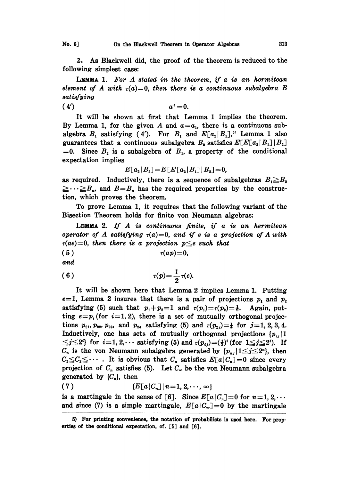2. As Blackwell did, the proof of the theorem is reduced to the following simplest case:

LEMMA 1. For  $A$  stated in the theorem, if  $a$  is an hermitean element of A with  $\tau(a)=0$ , then there is a continuous subalgebra B satisfying

(4')  $a^{\epsilon}=0.$ 

It will be shown at first that Lemma <sup>1</sup> implies the theorem. By Lemma 1, for the given A and  $a=a_1$ , there is a continuous subalgebra  $B_1$  satisfying (4'). For  $B_1$  and  $E[a_2|B_1]$ ,<sup>55</sup> Lemma 1 also guarantees that a continuous subalgebra  $B_2$  satisfies  $E[E[a_2|B_1]|B_2]$  $=0$ . Since  $B_2$  is a subalgebra of  $B_1$ , a property of the conditional expectation implies

$$
E[a_2|B_2] = E[E[a_2|B_1]|B_2] = 0,
$$

as required. Inductively, there is a sequence of subalgebras  $B_1 \ge B_2$  $\geq \cdots \geq B_n$ , and  $B=B_n$  has the required properties by the construction, which proves the theorem.

To prove Lemma 1, it requires that the following variant of the Bisection Theorem holds for finite von Neumann algebras:

LEMMA 2. If  $A$  is continuous finite, if  $a$  is an hermitean operator of A satisfying  $\tau(a)=0$ , and if e is a projection of A with  $\tau(ae)=0$ , then there is a projection  $p\leq e$  such that

$$
(5) \t\t\t \tau(ap)=0,
$$

and

$$
\tau(p)=\frac{1}{2}\,\tau(e).
$$

It will be shown here that Lemma 2 implies Lemma 1. Putting  $e=1$ , Lemma 2 insures that there is a pair of projections  $p_1$  and  $p_2$ satisfying (5) such that  $p_1+p_2=1$  and  $\tau(p_1)=\tau(p_2)=\frac{1}{2}$ . Again, putting  $e=p_i$  (for  $i=1, 2$ ), there is a set of mutually orthogonal projections  $p_{21}, p_{22}, p_{23},$  and  $p_{24}$  satisfying (5) and  $\tau(p_{2j})=\frac{1}{4}$  for  $j=1, 2, 3, 4$ . Inductively, one has sets of mutually orthogonal projections  $\{p_{ij}\}\mathbf{1}$  $\leq j \leq 2^i$  for  $i=1, 2, \cdots$  satisfying (5) and  $\tau(p_{ij})=(\frac{1}{2})^i$  (for  $1 \leq j \leq 2^i$ ). If  $C_n$  is the von Neumann subalgebra generated by  $\{p_{nj} \mid 1 \leq j \leq 2^n\}$ , then  $C_1 \leq C_2 \leq \cdots$ . It is obvious that  $C_n$  satisfies  $E[a|C_n]=0$  since every projection of  $C_n$  satisfies (5). Let  $C_\infty$  be the von Neumann subalgebra generated by  $\{C_n\}$ , then

$$
(7) \qquad \qquad \{E[a|C_n]|n=1,2,\cdots,\infty\}
$$

is a martingale in the sense of [6]. Since  $E[a|C_n]=0$  for  $n=1, 2, \cdots$ and since (7) is a simple martingale,  $E[a|C_{\infty}]=0$  by the martingale

<sup>5)</sup> For printing convenience, the notation of probabflists is used here. For properties of the conditional expectation, cf. [5] and [6].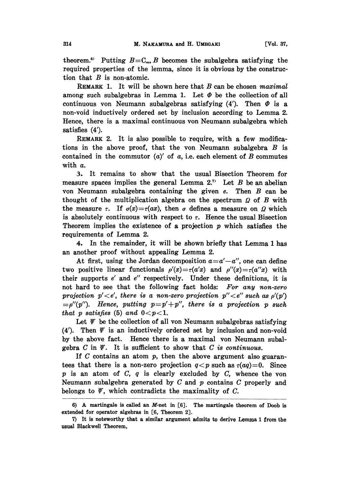theorem.<sup>6</sup> Putting  $B=C_{\infty}, B$  becomes the subalgebra satisfying the required properties of the lemma, since it is obvious by the construction that  $B$  is non-atomic.

REMARK 1. It will be shown here that  $B$  can be chosen maximal among such subalgebras in Lemma 1. Let  $\Phi$  be the collection of all continuous von Neumann subalgebras satisfying  $(4')$ . Then  $\Phi$  is a non-void inductively ordered set by inclusion according to Lemma 2. Hence, there is a maximal continuous von Neumann subalgebra which satisfies (4').

REMARK 2. It is also possible to require, with a few modifications in the above proof, that the von Neumann subalgebra  $B$  is contained in the commutor  $(a)'$  of a, i.e. each element of B commutes with a.

3. It remains to show that the usual Bisection Theorem for measure spaces implies the general Lemma  $2.7$  Let B be an abelian von Neumann subalgebra containing the given  $e$ . Then  $B$  can be thought of the multiplication algebra on the spectrum  $\Omega$  of B with the measure r. If  $\sigma(x) = \tau(ax)$ , then  $\sigma$  defines a measure on  $\Omega$  which is absolutely continuous with respect to  $\tau$ . Hence the usual Bisection Theorem implies the existence of a projection  $p$  which satisfies the requirements of Lemma 2.

4. In the remainder, it will be shown briefly that Lemma <sup>1</sup> has an another proof without appealing Lemma 2.

At first, using the Jordan decomposition  $a=a'-a''$ , one can define two positive linear functionals  $\rho'(x) = \tau(a/x)$  and  $\rho''(x) = \tau(a''x)$  with their supports  $e'$  and  $e''$  respectively. Under these definitions, it is not hard to see that the following fact holds: For any non-zero projection  $p' < e'$ , there is a non-zero projection  $p'' < e''$  such as  $\rho'(p')$  $=$ p''(p''). Hence, putting  $p=p'+p''$ , there is a projection p such that p satisfies (5) and  $0 < p < 1$ .

Let  $\psi$  be the collection of all von Neumann subalgebras satisfying (4'). Then  $\mathscr Y$  is an inductively ordered set by inclusion and non-void by the above fact. Hence there is a maximal yon Neumann subalgebra  $C$  in  $\mathscr Y$ . It is sufficient to show that  $C$  is continuous.

If  $C$  contains an atom  $p$ , then the above argument also guarantees that there is a non-zero projection  $q < p$  such as  $\tau(aq)=0$ . Since  $p$  is an atom of  $C$ ,  $q$  is clearly excluded by  $C$ , whence the von Neumann subalgebra generated by  $C$  and  $p$  contains  $C$  properly and belongs to  $\mathbf{V}$ , which contradicts the maximality of C.

<sup>6)</sup> A martingale is called an M-net in [6]. The martingale theorem of Doob is extended for operator algebras in [6, Theorem 2].

<sup>7)</sup> It is noteworthy that a similar argument admits to derive Lemma <sup>1</sup> from the usual Blackwell Theorem,